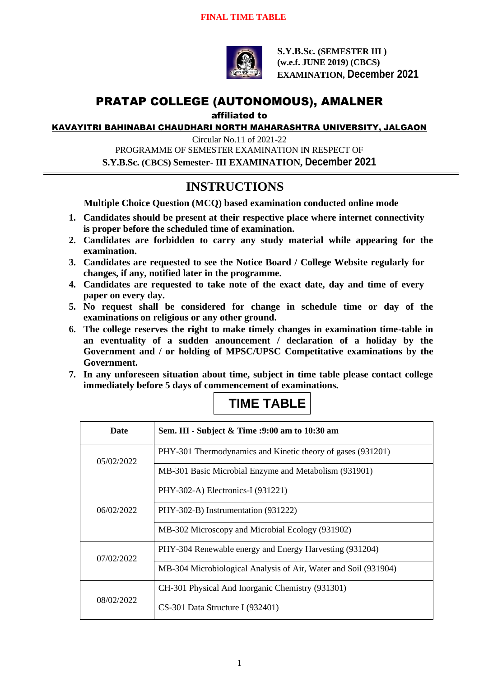

**S.Y.B.Sc. (SEMESTER III ) (w.e.f. JUNE 2019) (CBCS) EXAMINATION, December 2021**

## PRATAP COLLEGE (AUTONOMOUS), AMALNER

affiliated to

KAVAYITRI BAHINABAI CHAUDHARI NORTH MAHARASHTRA UNIVERSITY, JALGAON

Circular No.11 of 2021-22 PROGRAMME OF SEMESTER EXAMINATION IN RESPECT OF **S.Y.B.Sc. (CBCS) Semester- III EXAMINATION, December 2021**

## **INSTRUCTIONS**

**Multiple Choice Question (MCQ) based examination conducted online mode**

- **1. Candidates should be present at their respective place where internet connectivity is proper before the scheduled time of examination.**
- **2. Candidates are forbidden to carry any study material while appearing for the examination.**
- **3. Candidates are requested to see the Notice Board / College Website regularly for changes, if any, notified later in the programme.**
- **4. Candidates are requested to take note of the exact date, day and time of every paper on every day.**
- **5. No request shall be considered for change in schedule time or day of the examinations on religious or any other ground.**
- **6. The college reserves the right to make timely changes in examination time-table in an eventuality of a sudden anouncement / declaration of a holiday by the Government and / or holding of MPSC/UPSC Competitative examinations by the Government.**
- **7. In any unforeseen situation about time, subject in time table please contact college immediately before 5 days of commencement of examinations.**

| <b>Date</b> | Sem. III - Subject & Time :9:00 am to 10:30 am                  |
|-------------|-----------------------------------------------------------------|
| 05/02/2022  | PHY-301 Thermodynamics and Kinetic theory of gases (931201)     |
|             | MB-301 Basic Microbial Enzyme and Metabolism (931901)           |
| 06/02/2022  | PHY-302-A) Electronics-I (931221)                               |
|             | PHY-302-B) Instrumentation (931222)                             |
|             | MB-302 Microscopy and Microbial Ecology (931902)                |
| 07/02/2022  | PHY-304 Renewable energy and Energy Harvesting (931204)         |
|             | MB-304 Microbiological Analysis of Air, Water and Soil (931904) |
| 08/02/2022  | CH-301 Physical And Inorganic Chemistry (931301)                |
|             | CS-301 Data Structure I (932401)                                |

## **TIME TABLE**